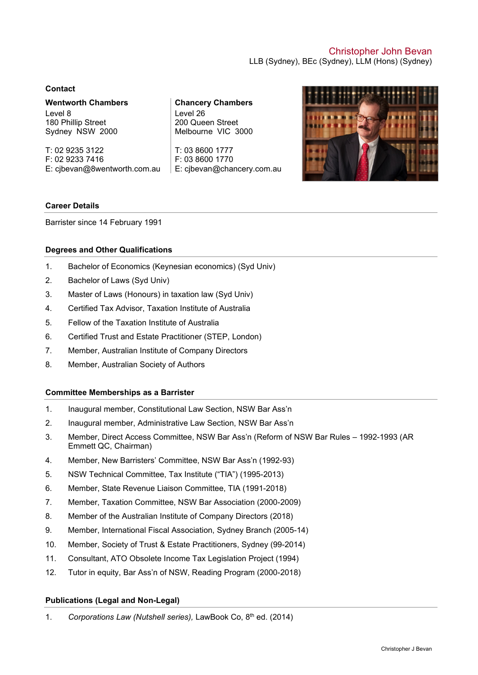# Christopher John Bevan LLB (Sydney), BEc (Sydney), LLM (Hons) (Sydney)

### **Contact**

**Wentworth Chambers** Level 8 180 Phillip Street Sydney NSW 2000

T: 02 9235 3122 F: 02 9233 7416 E: [cjbevan@8wentworth.com.au](mailto:cjbevan@8wentworth.com.au) **Chancery Chambers** Level 26 200 Queen Street Melbourne VIC 3000

T: 03 8600 1777 F: 03 8600 1770 E: [cjbevan@chancery.com.au](mailto:cjbevan@chancery.com.au)



## **Career Details**

Barrister since 14 February 1991

## **Degrees and Other Qualifications**

- 1. Bachelor of Economics (Keynesian economics) (Syd Univ)
- 2. Bachelor of Laws (Syd Univ)
- 3. Master of Laws (Honours) in taxation law (Syd Univ)
- 4. Certified Tax Advisor, Taxation Institute of Australia
- 5. Fellow of the Taxation Institute of Australia
- 6. Certified Trust and Estate Practitioner (STEP, London)
- 7. Member, Australian Institute of Company Directors
- 8. Member, Australian Society of Authors

## **Committee Memberships as a Barrister**

- 1. Inaugural member, Constitutional Law Section, NSW Bar Ass'n
- 2. Inaugural member, Administrative Law Section, NSW Bar Ass'n
- 3. Member, Direct Access Committee, NSW Bar Ass'n (Reform of NSW Bar Rules 1992-1993 (AR Emmett QC, Chairman)
- 4. Member, New Barristers' Committee, NSW Bar Ass'n (1992-93)
- 5. NSW Technical Committee, Tax Institute ("TIA") (1995-2013)
- 6. Member, State Revenue Liaison Committee, TIA (1991-2018)
- 7. Member, Taxation Committee, NSW Bar Association (2000-2009)
- 8. Member of the Australian Institute of Company Directors (2018)
- 9. Member, International Fiscal Association, Sydney Branch (2005-14)
- 10. Member, Society of Trust & Estate Practitioners, Sydney (99-2014)
- 11. Consultant, ATO Obsolete Income Tax Legislation Project (1994)
- 12. Tutor in equity, Bar Ass'n of NSW, Reading Program (2000-2018)

# **Publications (Legal and Non-Legal)**

1. *Corporations Law (Nutshell series), LawBook Co, 8<sup>th</sup> ed. (2014)*